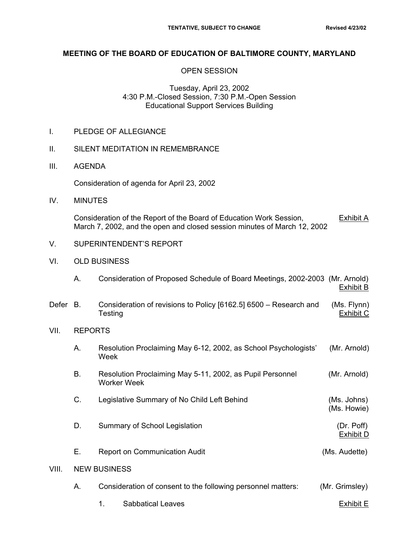(Ms. Howie)

## **MEETING OF THE BOARD OF EDUCATION OF BALTIMORE COUNTY, MARYLAND**

### OPEN SESSION

#### Tuesday, April 23, 2002 4:30 P.M.-Closed Session, 7:30 P.M.-Open Session Educational Support Services Building

- I. PLEDGE OF ALLEGIANCE
- II. SILENT MEDITATION IN REMEMBRANCE
- III. AGENDA

Consideration of agenda for April 23, 2002

IV. MINUTES

 Consideration of the Report of the Board of Education Work Session, Exhibit A March 7, 2002, and the open and closed session minutes of March 12, 2002

- V. SUPERINTENDENT'S REPORT
- VI. OLD BUSINESS

| Consideration of Proposed Schedule of Board Meetings, 2002-2003 (Mr. Arnold) |           |
|------------------------------------------------------------------------------|-----------|
|                                                                              | Exhibit B |

- Defer B. Consideration of revisions to Policy [6162.5] 6500 Research and (Ms. Flynn) **Testing Exhibit C**
- VII. REPORTS
	- A. Resolution Proclaiming May 6-12, 2002, as School Psychologists' (Mr. Arnold) Week
	- B. Resolution Proclaiming May 5-11, 2002, as Pupil Personnel (Mr. Arnold) Worker Week
	- C. Legislative Summary of No Child Left Behind (Ms. Johns)
	- D. Summary of School Legislation (Dr. Poff)
	- E. Report on Communication Audit (Ms. Audette)

Exhibit D

## VIII. NEW BUSINESS

- A. Consideration of consent to the following personnel matters: (Mr. Grimsley)
	- 1. Sabbatical Leaves **Exhibit Exhibit Exhibit Exhibit Exhibit Exhibit Exhibit Exhibit Exhibit Exhibit Exhibit Exhibit Exhibit Exhibit Exhibit Exhibit Exhibit Exhibit Exhibit Exhibit Exhibit Exhibit Exhibit Exhibit Exhibit**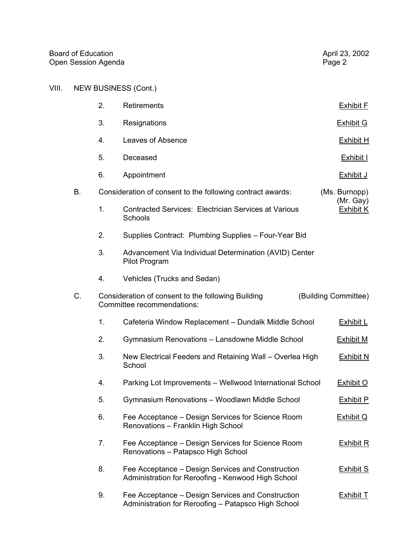# VIII. NEW BUSINESS (Cont.)

|    | 2. | Retirements                                                                                              | <b>Exhibit F</b>           |
|----|----|----------------------------------------------------------------------------------------------------------|----------------------------|
|    | 3. | Resignations                                                                                             | <b>Exhibit G</b>           |
|    | 4. | Leaves of Absence                                                                                        | <b>Exhibit H</b>           |
|    | 5. | Deceased                                                                                                 | Exhibit I                  |
|    | 6. | Appointment                                                                                              | <b>Exhibit J</b>           |
| Β. |    | Consideration of consent to the following contract awards:                                               | (Ms. Burnopp)<br>(Mr. Gay) |
|    | 1. | Contracted Services: Electrician Services at Various<br>Schools                                          | <b>Exhibit K</b>           |
|    | 2. | Supplies Contract: Plumbing Supplies - Four-Year Bid                                                     |                            |
|    | 3. | Advancement Via Individual Determination (AVID) Center<br>Pilot Program                                  |                            |
|    | 4. | Vehicles (Trucks and Sedan)                                                                              |                            |
| C. |    | Consideration of consent to the following Building<br>(Building Committee)<br>Committee recommendations: |                            |
|    | 1. | Cafeteria Window Replacement - Dundalk Middle School                                                     | <b>Exhibit L</b>           |
|    | 2. | Gymnasium Renovations - Lansdowne Middle School                                                          | <b>Exhibit M</b>           |
|    | 3. | New Electrical Feeders and Retaining Wall - Overlea High<br>School                                       | <b>Exhibit N</b>           |
|    | 4. | Parking Lot Improvements - Wellwood International School                                                 | <b>Exhibit O</b>           |
|    | 5. | Gymnasium Renovations - Woodlawn Middle School                                                           | <b>Exhibit P</b>           |
|    | 6. | Fee Acceptance – Design Services for Science Room<br>Renovations - Franklin High School                  | <b>Exhibit Q</b>           |
|    | 7. | Fee Acceptance – Design Services for Science Room<br>Renovations - Patapsco High School                  | <b>Exhibit R</b>           |
|    | 8. | Fee Acceptance – Design Services and Construction<br>Administration for Reroofing - Kenwood High School  | <b>Exhibit S</b>           |
|    | 9. | Fee Acceptance – Design Services and Construction<br>Administration for Reroofing - Patapsco High School | <b>Exhibit T</b>           |